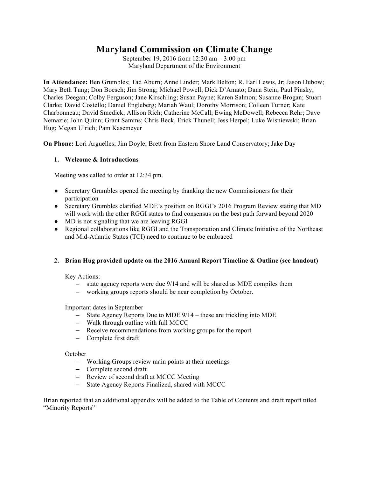# **Maryland Commission on Climate Change**

September 19, 2016 from 12:30 am – 3:00 pm Maryland Department of the Environment

**In Attendance:** Ben Grumbles; Tad Aburn; Anne Linder; Mark Belton; R. Earl Lewis, Jr; Jason Dubow; Mary Beth Tung; Don Boesch; Jim Strong; Michael Powell; Dick D'Amato; Dana Stein; Paul Pinsky; Charles Deegan; Colby Ferguson; Jane Kirschling; Susan Payne; Karen Salmon; Susanne Brogan; Stuart Clarke; David Costello; Daniel Engleberg; Mariah Waul; Dorothy Morrison; Colleen Turner; Kate Charbonneau; David Smedick; Allison Rich; Catherine McCall; Ewing McDowell; Rebecca Rehr; Dave Nemazie; John Quinn; Grant Samms; Chris Beck, Erick Thunell; Jess Herpel; Luke Wisniewski; Brian Hug; Megan Ulrich; Pam Kasemeyer

**On Phone:** Lori Arguelles; Jim Doyle; Brett from Eastern Shore Land Conservatory; Jake Day

#### **1. Welcome & Introductions**

Meeting was called to order at 12:34 pm.

- Secretary Grumbles opened the meeting by thanking the new Commissioners for their participation
- Secretary Grumbles clarified MDE's position on RGGI's 2016 Program Review stating that MD will work with the other RGGI states to find consensus on the best path forward beyond 2020
- MD is not signaling that we are leaving RGGI
- Regional collaborations like RGGI and the Transportation and Climate Initiative of the Northeast and Mid-Atlantic States (TCI) need to continue to be embraced

## **2. Brian Hug provided update on the 2016 Annual Report Timeline & Outline (see handout)**

Key Actions:

- state agency reports were due 9/14 and will be shared as MDE compiles them
- working groups reports should be near completion by October.

#### Important dates in September

- State Agency Reports Due to MDE 9/14 these are trickling into MDE
- Walk through outline with full MCCC
- Receive recommendations from working groups for the report
- Complete first draft

**October** 

- Working Groups review main points at their meetings
- Complete second draft
- Review of second draft at MCCC Meeting
- State Agency Reports Finalized, shared with MCCC

Brian reported that an additional appendix will be added to the Table of Contents and draft report titled "Minority Reports"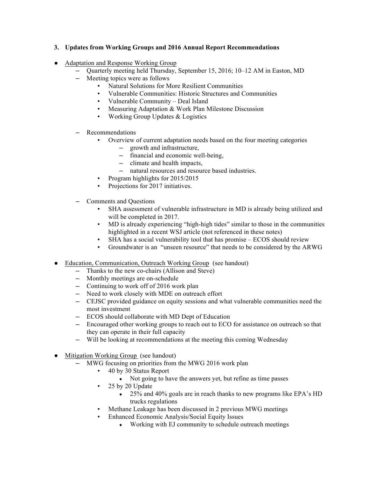## **3. Updates from Working Groups and 2016 Annual Report Recommendations**

- Adaptation and Response Working Group
	- Quarterly meeting held Thursday, September 15, 2016; 10–12 AM in Easton, MD
	- Meeting topics were as follows
		- Natural Solutions for More Resilient Communities
		- Vulnerable Communities: Historic Structures and Communities
		- Vulnerable Community Deal Island
		- Measuring Adaptation & Work Plan Milestone Discussion
		- Working Group Updates & Logistics
	- Recommendations
		- Overview of current adaptation needs based on the four meeting categories
			- growth and infrastructure,
			- financial and economic well-being,
			- climate and health impacts,
			- natural resources and resource based industries.
		- Program highlights for 2015/2015
		- Projections for 2017 initiatives.
	- Comments and Questions
		- SHA assessment of vulnerable infrastructure in MD is already being utilized and will be completed in 2017.
		- MD is already experiencing "high-high tides" similar to those in the communities highlighted in a recent WSJ article (not referenced in these notes)
		- $SHA$  has a social vulnerability tool that has promise  $ECOS$  should review
		- Groundwater is an "unseen resource" that needs to be considered by the ARWG
- Education, Communication, Outreach Working Group (see handout)
	- Thanks to the new co-chairs (Allison and Steve)
	- Monthly meetings are on-schedule
	- Continuing to work off of 2016 work plan
	- Need to work closely with MDE on outreach effort
	- CEJSC provided guidance on equity sessions and what vulnerable communities need the most investment
	- ECOS should collaborate with MD Dept of Education
	- Encouraged other working groups to reach out to ECO for assistance on outreach so that they can operate in their full capacity
	- Will be looking at recommendations at the meeting this coming Wednesday
- Mitigation Working Group (see handout)
	- MWG focusing on priorities from the MWG 2016 work plan
		- 40 by 30 Status Report
			- Not going to have the answers yet, but refine as time passes
			- 25 by 20 Update
				- 25% and 40% goals are in reach thanks to new programs like EPA's HD trucks regulations
		- Methane Leakage has been discussed in 2 previous MWG meetings
			- Enhanced Economic Analysis/Social Equity Issues
				- Working with EJ community to schedule outreach meetings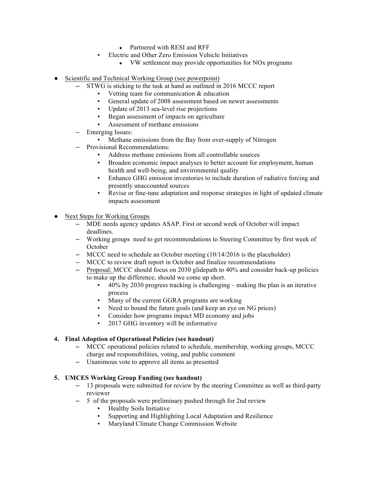- Partnered with RESI and RFF
- Electric and Other Zero Emission Vehicle Initiatives
	- VW settlement may provide opportunities for NO<sub>x</sub> programs
- Scientific and Technical Working Group (see powerpoint)
	- STWG is sticking to the task at hand as outlined in 2016 MCCC report
		- Vetting team for communication  $\&$  education
		- General update of 2008 assessment based on newer assessments
		- Update of 2013 sea-level rise projections
		- Began assessment of impacts on agriculture
		- Assessment of methane emissions
	- Emerging Issues:
		- Methane emissions from the Bay from over-supply of Nitrogen
	- Provisional Recommendations:
		- Address methane emissions from all controllable sources
		- Broaden economic impact analyses to better account for employment, human health and well-being, and environmental quality
		- Enhance GHG emission inventories to include duration of radiative forcing and presently unaccounted sources
		- Revise or fine-tune adaptation and response strategies in light of updated climate impacts assessment
- Next Steps for Working Groups
	- MDE needs agency updates ASAP. First or second week of October will impact deadlines.
	- Working groups need to get recommendations to Steering Committee by first week of **October**
	- MCCC need to schedule an October meeting (10/14/2016 is the placeholder)
	- MCCC to review draft report in October and finalize recommendations
	- Proposal: MCCC should focus on 2030 glidepath to 40% and consider back-up policies to make up the difference, should we come up short.
		- $40\%$  by 2030 progress tracking is challenging making the plan is an iterative process
		- Many of the current GGRA programs are working
		- Need to bound the future goals (and keep an eye on NG prices)
		- Consider how programs impact MD economy and jobs
		- 2017 GHG inventory will be informative

#### **4. Final Adoption of Operational Policies (see handout)**

- MCCC operational policies related to schedule, membership, working groups, MCCC charge and responsibilities, voting, and public comment
- Unanimous vote to approve all items as presented

#### **5. UMCES Working Group Funding (see handout)**

- 13 proposals were submitted for review by the steering Committee as well as third-party reviewer
- 5 of the proposals were preliminary pushed through for 2nd review
	- **Healthy Soils Initiative**
	- Supporting and Highlighting Local Adaptation and Resilience
	- Maryland Climate Change Commission Website